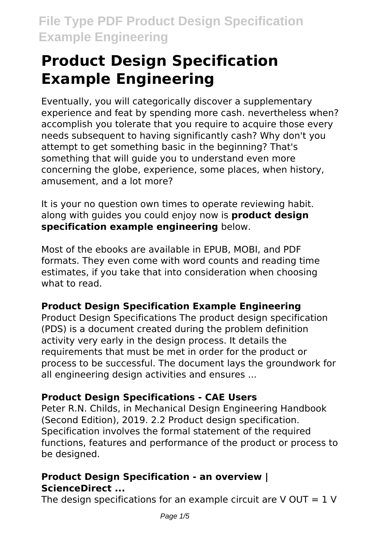# **Product Design Specification Example Engineering**

Eventually, you will categorically discover a supplementary experience and feat by spending more cash. nevertheless when? accomplish you tolerate that you require to acquire those every needs subsequent to having significantly cash? Why don't you attempt to get something basic in the beginning? That's something that will guide you to understand even more concerning the globe, experience, some places, when history, amusement, and a lot more?

It is your no question own times to operate reviewing habit. along with guides you could enjoy now is **product design specification example engineering** below.

Most of the ebooks are available in EPUB, MOBI, and PDF formats. They even come with word counts and reading time estimates, if you take that into consideration when choosing what to read.

# **Product Design Specification Example Engineering**

Product Design Specifications The product design specification (PDS) is a document created during the problem definition activity very early in the design process. It details the requirements that must be met in order for the product or process to be successful. The document lays the groundwork for all engineering design activities and ensures ...

# **Product Design Specifications - CAE Users**

Peter R.N. Childs, in Mechanical Design Engineering Handbook (Second Edition), 2019. 2.2 Product design specification. Specification involves the formal statement of the required functions, features and performance of the product or process to be designed.

# **Product Design Specification - an overview | ScienceDirect ...**

The design specifications for an example circuit are  $V$  OUT = 1 V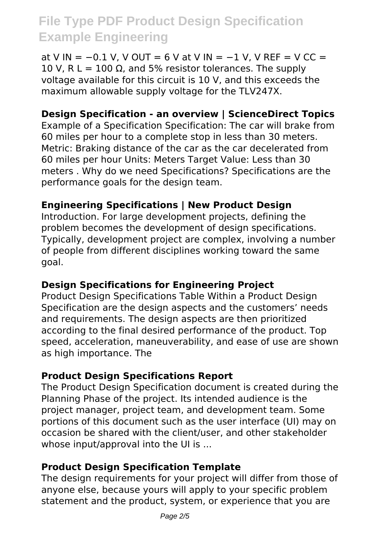at V IN =  $-0.1$  V, V OUT = 6 V at V IN =  $-1$  V, V REF = V CC = 10 V, R L = 100 Ω, and 5% resistor tolerances. The supply voltage available for this circuit is 10 V, and this exceeds the maximum allowable supply voltage for the TLV247X.

# **Design Specification - an overview | ScienceDirect Topics**

Example of a Specification Specification: The car will brake from 60 miles per hour to a complete stop in less than 30 meters. Metric: Braking distance of the car as the car decelerated from 60 miles per hour Units: Meters Target Value: Less than 30 meters . Why do we need Specifications? Specifications are the performance goals for the design team.

### **Engineering Specifications | New Product Design**

Introduction. For large development projects, defining the problem becomes the development of design specifications. Typically, development project are complex, involving a number of people from different disciplines working toward the same goal.

# **Design Specifications for Engineering Project**

Product Design Specifications Table Within a Product Design Specification are the design aspects and the customers' needs and requirements. The design aspects are then prioritized according to the final desired performance of the product. Top speed, acceleration, maneuverability, and ease of use are shown as high importance. The

#### **Product Design Specifications Report**

The Product Design Specification document is created during the Planning Phase of the project. Its intended audience is the project manager, project team, and development team. Some portions of this document such as the user interface (UI) may on occasion be shared with the client/user, and other stakeholder whose input/approval into the UI is ...

#### **Product Design Specification Template**

The design requirements for your project will differ from those of anyone else, because yours will apply to your specific problem statement and the product, system, or experience that you are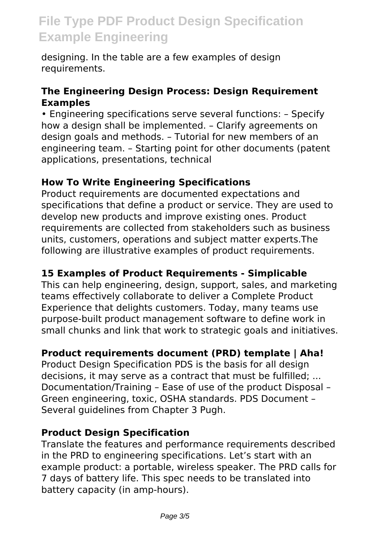designing. In the table are a few examples of design requirements.

#### **The Engineering Design Process: Design Requirement Examples**

• Engineering specifications serve several functions: – Specify how a design shall be implemented. – Clarify agreements on design goals and methods. – Tutorial for new members of an engineering team. – Starting point for other documents (patent applications, presentations, technical

#### **How To Write Engineering Specifications**

Product requirements are documented expectations and specifications that define a product or service. They are used to develop new products and improve existing ones. Product requirements are collected from stakeholders such as business units, customers, operations and subject matter experts.The following are illustrative examples of product requirements.

#### **15 Examples of Product Requirements - Simplicable**

This can help engineering, design, support, sales, and marketing teams effectively collaborate to deliver a Complete Product Experience that delights customers. Today, many teams use purpose-built product management software to define work in small chunks and link that work to strategic goals and initiatives.

#### **Product requirements document (PRD) template | Aha!**

Product Design Specification PDS is the basis for all design decisions, it may serve as a contract that must be fulfilled; ... Documentation/Training – Ease of use of the product Disposal – Green engineering, toxic, OSHA standards. PDS Document – Several guidelines from Chapter 3 Pugh.

#### **Product Design Specification**

Translate the features and performance requirements described in the PRD to engineering specifications. Let's start with an example product: a portable, wireless speaker. The PRD calls for 7 days of battery life. This spec needs to be translated into battery capacity (in amp-hours).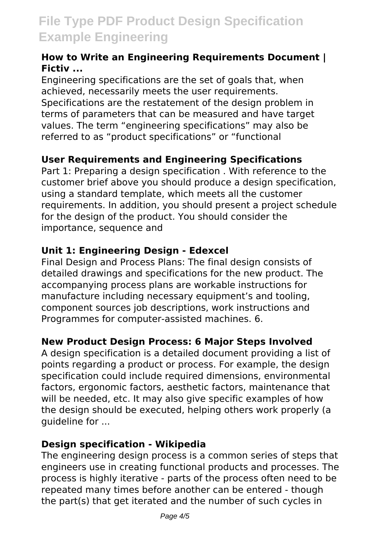#### **How to Write an Engineering Requirements Document | Fictiv ...**

Engineering specifications are the set of goals that, when achieved, necessarily meets the user requirements. Specifications are the restatement of the design problem in terms of parameters that can be measured and have target values. The term "engineering specifications" may also be referred to as "product specifications" or "functional

# **User Requirements and Engineering Specifications**

Part 1: Preparing a design specification . With reference to the customer brief above you should produce a design specification, using a standard template, which meets all the customer requirements. In addition, you should present a project schedule for the design of the product. You should consider the importance, sequence and

# **Unit 1: Engineering Design - Edexcel**

Final Design and Process Plans: The final design consists of detailed drawings and specifications for the new product. The accompanying process plans are workable instructions for manufacture including necessary equipment's and tooling, component sources job descriptions, work instructions and Programmes for computer-assisted machines. 6.

#### **New Product Design Process: 6 Major Steps Involved**

A design specification is a detailed document providing a list of points regarding a product or process. For example, the design specification could include required dimensions, environmental factors, ergonomic factors, aesthetic factors, maintenance that will be needed, etc. It may also give specific examples of how the design should be executed, helping others work properly (a guideline for ...

#### **Design specification - Wikipedia**

The engineering design process is a common series of steps that engineers use in creating functional products and processes. The process is highly iterative - parts of the process often need to be repeated many times before another can be entered - though the part(s) that get iterated and the number of such cycles in